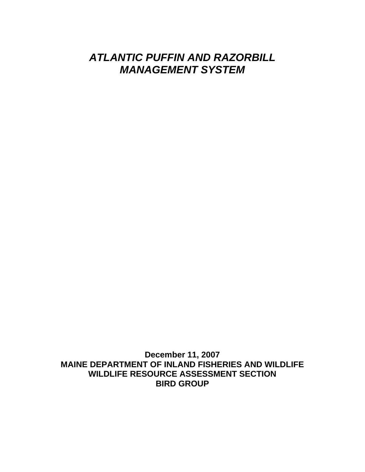# *ATLANTIC PUFFIN AND RAZORBILL MANAGEMENT SYSTEM*

**December 11, 2007 MAINE DEPARTMENT OF INLAND FISHERIES AND WILDLIFE WILDLIFE RESOURCE ASSESSMENT SECTION BIRD GROUP**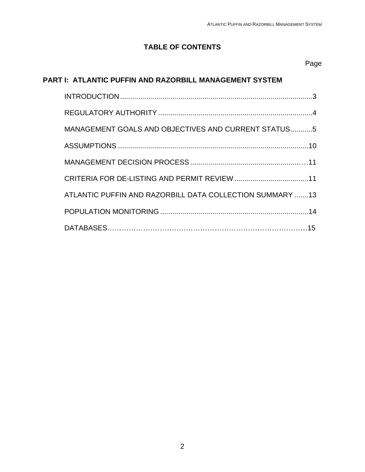# **TABLE OF CONTENTS**

#### Page

# **PART I: ATLANTIC PUFFIN AND RAZORBILL MANAGEMENT SYSTEM**

| MANAGEMENT GOALS AND OBJECTIVES AND CURRENT STATUS5      |
|----------------------------------------------------------|
|                                                          |
|                                                          |
|                                                          |
| ATLANTIC PUFFIN AND RAZORBILL DATA COLLECTION SUMMARY 13 |
|                                                          |
|                                                          |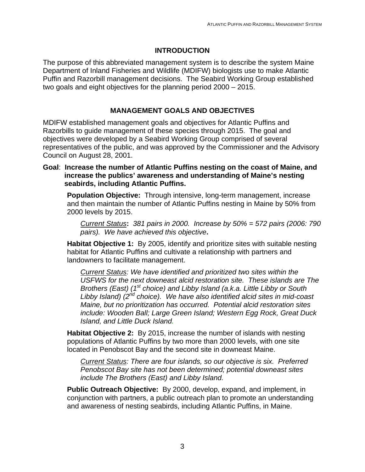### **INTRODUCTION**

The purpose of this abbreviated management system is to describe the system Maine Department of Inland Fisheries and Wildlife (MDIFW) biologists use to make Atlantic Puffin and Razorbill management decisions. The Seabird Working Group established two goals and eight objectives for the planning period 2000 – 2015.

### **MANAGEMENT GOALS AND OBJECTIVES**

MDIFW established management goals and objectives for Atlantic Puffins and Razorbills to guide management of these species through 2015. The goal and objectives were developed by a Seabird Working Group comprised of several representatives of the public, and was approved by the Commissioner and the Advisory Council on August 28, 2001.

#### **Goal**: **Increase the number of Atlantic Puffins nesting on the coast of Maine, and increase the publics' awareness and understanding of Maine's nesting seabirds, including Atlantic Puffins.**

**Population Objective:** Through intensive, long-term management, increase and then maintain the number of Atlantic Puffins nesting in Maine by 50% from 2000 levels by 2015.

*Current Status***:** *381 pairs in 2000. Increase by 50% = 572 pairs (2006: 790 pairs). We have achieved this objective***.** 

**Habitat Objective 1:** By 2005, identify and prioritize sites with suitable nesting habitat for Atlantic Puffins and cultivate a relationship with partners and landowners to facilitate management.

*Current Status: We have identified and prioritized two sites within the USFWS for the next downeast alcid restoration site. These islands are The Brothers (East) (1<sup>st</sup> choice) and Libby Island (a.k.a. Little Libby or South Libby Island) (2nd choice). We have also identified alcid sites in mid-coast Maine, but no prioritization has occurred. Potential alcid restoration sites include: Wooden Ball; Large Green Island; Western Egg Rock, Great Duck Island, and Little Duck Island.*

**Habitat Objective 2:** By 2015, increase the number of islands with nesting populations of Atlantic Puffins by two more than 2000 levels, with one site located in Penobscot Bay and the second site in downeast Maine.

*Current Status: There are four islands, so our objective is six. Preferred Penobscot Bay site has not been determined; potential downeast sites include The Brothers (East) and Libby Island.* 

**Public Outreach Objective:** By 2000, develop, expand, and implement, in conjunction with partners, a public outreach plan to promote an understanding and awareness of nesting seabirds, including Atlantic Puffins, in Maine.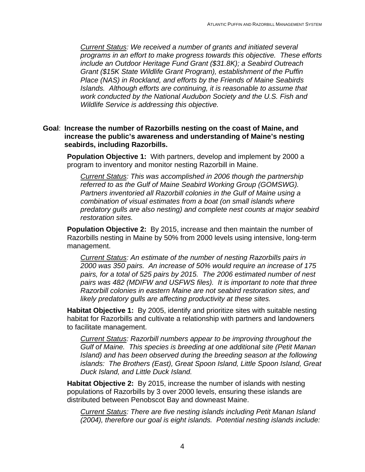*Current Status: We received a number of grants and initiated several programs in an effort to make progress towards this objective. These efforts include an Outdoor Heritage Fund Grant (\$31.8K); a Seabird Outreach Grant (\$15K State Wildlife Grant Program), establishment of the Puffin Place (NAS) in Rockland, and efforts by the Friends of Maine Seabirds Islands. Although efforts are continuing, it is reasonable to assume that work conducted by the National Audubon Society and the U.S. Fish and Wildlife Service is addressing this objective.* 

#### **Goal**: **Increase the number of Razorbills nesting on the coast of Maine, and increase the public's awareness and understanding of Maine's nesting seabirds, including Razorbills.**

**Population Objective 1:** With partners, develop and implement by 2000 a program to inventory and monitor nesting Razorbill in Maine.

*Current Status: This was accomplished in 2006 though the partnership referred to as the Gulf of Maine Seabird Working Group (GOMSWG). Partners inventoried all Razorbill colonies in the Gulf of Maine using a combination of visual estimates from a boat (on small islands where predatory gulls are also nesting) and complete nest counts at major seabird restoration sites.* 

**Population Objective 2:** By 2015, increase and then maintain the number of Razorbills nesting in Maine by 50% from 2000 levels using intensive, long-term management.

*Current Status: An estimate of the number of nesting Razorbills pairs in 2000 was 350 pairs. An increase of 50% would require an increase of 175 pairs, for a total of 525 pairs by 2015. The 2006 estimated number of nest pairs was 482 (MDIFW and USFWS files). It is important to note that three Razorbill colonies in eastern Maine are not seabird restoration sites, and likely predatory gulls are affecting productivity at these sites.* 

**Habitat Objective 1:** By 2005, identify and prioritize sites with suitable nesting habitat for Razorbills and cultivate a relationship with partners and landowners to facilitate management.

*Current Status: Razorbill numbers appear to be improving throughout the Gulf of Maine. This species is breeding at one additional site (Petit Manan Island) and has been observed during the breeding season at the following islands: The Brothers (East), Great Spoon Island, Little Spoon Island, Great Duck Island, and Little Duck Island.* 

**Habitat Objective 2:** By 2015, increase the number of islands with nesting populations of Razorbills by 3 over 2000 levels, ensuring these islands are distributed between Penobscot Bay and downeast Maine.

*Current Status: There are five nesting islands including Petit Manan Island (2004), therefore our goal is eight islands. Potential nesting islands include:*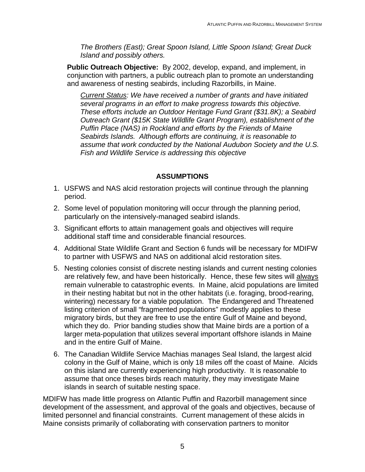*The Brothers (East); Great Spoon Island, Little Spoon Island; Great Duck Island and possibly others.* 

**Public Outreach Objective:** By 2002, develop, expand, and implement, in conjunction with partners, a public outreach plan to promote an understanding and awareness of nesting seabirds, including Razorbills, in Maine.

*Current Status: We have received a number of grants and have initiated several programs in an effort to make progress towards this objective. These efforts include an Outdoor Heritage Fund Grant (\$31.8K); a Seabird Outreach Grant (\$15K State Wildlife Grant Program), establishment of the Puffin Place (NAS) in Rockland and efforts by the Friends of Maine Seabirds Islands. Although efforts are continuing, it is reasonable to assume that work conducted by the National Audubon Society and the U.S. Fish and Wildlife Service is addressing this objective* 

## **ASSUMPTIONS**

- 1. USFWS and NAS alcid restoration projects will continue through the planning period.
- 2. Some level of population monitoring will occur through the planning period, particularly on the intensively-managed seabird islands.
- 3. Significant efforts to attain management goals and objectives will require additional staff time and considerable financial resources.
- 4. Additional State Wildlife Grant and Section 6 funds will be necessary for MDIFW to partner with USFWS and NAS on additional alcid restoration sites.
- 5. Nesting colonies consist of discrete nesting islands and current nesting colonies are relatively few, and have been historically. Hence, these few sites will always remain vulnerable to catastrophic events. In Maine, alcid populations are limited in their nesting habitat but not in the other habitats (i.e. foraging, brood-rearing, wintering) necessary for a viable population. The Endangered and Threatened listing criterion of small "fragmented populations" modestly applies to these migratory birds, but they are free to use the entire Gulf of Maine and beyond, which they do. Prior banding studies show that Maine birds are a portion of a larger meta-population that utilizes several important offshore islands in Maine and in the entire Gulf of Maine.
- 6. The Canadian Wildlife Service Machias manages Seal Island, the largest alcid colony in the Gulf of Maine, which is only 18 miles off the coast of Maine. Alcids on this island are currently experiencing high productivity. It is reasonable to assume that once theses birds reach maturity, they may investigate Maine islands in search of suitable nesting space.

MDIFW has made little progress on Atlantic Puffin and Razorbill management since development of the assessment, and approval of the goals and objectives, because of limited personnel and financial constraints. Current management of these alcids in Maine consists primarily of collaborating with conservation partners to monitor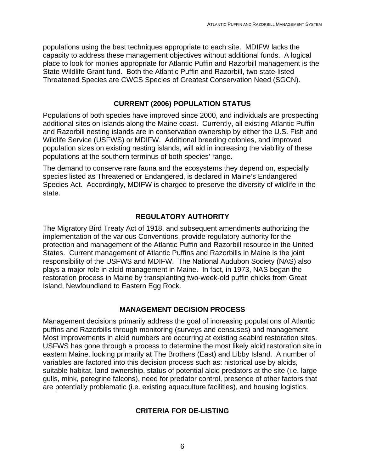populations using the best techniques appropriate to each site. MDIFW lacks the capacity to address these management objectives without additional funds. A logical place to look for monies appropriate for Atlantic Puffin and Razorbill management is the State Wildlife Grant fund. Both the Atlantic Puffin and Razorbill, two state-listed Threatened Species are CWCS Species of Greatest Conservation Need (SGCN).

#### **CURRENT (2006) POPULATION STATUS**

Populations of both species have improved since 2000, and individuals are prospecting additional sites on islands along the Maine coast. Currently, all existing Atlantic Puffin and Razorbill nesting islands are in conservation ownership by either the U.S. Fish and Wildlife Service (USFWS) or MDIFW. Additional breeding colonies, and improved population sizes on existing nesting islands, will aid in increasing the viability of these populations at the southern terminus of both species' range.

The demand to conserve rare fauna and the ecosystems they depend on, especially species listed as Threatened or Endangered, is declared in Maine's Endangered Species Act. Accordingly, MDIFW is charged to preserve the diversity of wildlife in the state.

## **REGULATORY AUTHORITY**

The Migratory Bird Treaty Act of 1918, and subsequent amendments authorizing the implementation of the various Conventions, provide regulatory authority for the protection and management of the Atlantic Puffin and Razorbill resource in the United States. Current management of Atlantic Puffins and Razorbills in Maine is the joint responsibility of the USFWS and MDIFW. The National Audubon Society (NAS) also plays a major role in alcid management in Maine. In fact, in 1973, NAS began the restoration process in Maine by transplanting two-week-old puffin chicks from Great Island, Newfoundland to Eastern Egg Rock.

#### **MANAGEMENT DECISION PROCESS**

Management decisions primarily address the goal of increasing populations of Atlantic puffins and Razorbills through monitoring (surveys and censuses) and management. Most improvements in alcid numbers are occurring at existing seabird restoration sites. USFWS has gone through a process to determine the most likely alcid restoration site in eastern Maine, looking primarily at The Brothers (East) and Libby Island. A number of variables are factored into this decision process such as: historical use by alcids, suitable habitat, land ownership, status of potential alcid predators at the site (i.e. large gulls, mink, peregrine falcons), need for predator control, presence of other factors that are potentially problematic (i.e. existing aquaculture facilities), and housing logistics.

## **CRITERIA FOR DE-LISTING**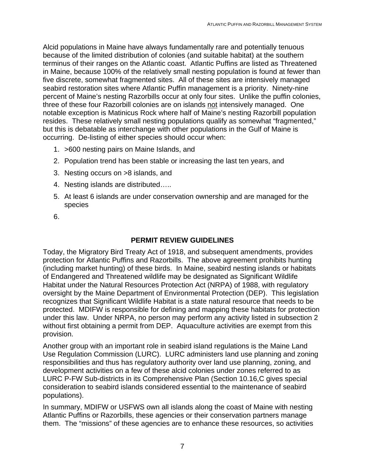Alcid populations in Maine have always fundamentally rare and potentially tenuous because of the limited distribution of colonies (and suitable habitat) at the southern terminus of their ranges on the Atlantic coast. Atlantic Puffins are listed as Threatened in Maine, because 100% of the relatively small nesting population is found at fewer than five discrete, somewhat fragmented sites. All of these sites are intensively managed seabird restoration sites where Atlantic Puffin management is a priority. Ninety-nine percent of Maine's nesting Razorbills occur at only four sites. Unlike the puffin colonies, three of these four Razorbill colonies are on islands not intensively managed. One notable exception is Matinicus Rock where half of Maine's nesting Razorbill population resides. These relatively small nesting populations qualify as somewhat "fragmented," but this is debatable as interchange with other populations in the Gulf of Maine is occurring. De-listing of either species should occur when:

- 1. >600 nesting pairs on Maine Islands, and
- 2. Population trend has been stable or increasing the last ten years, and
- 3. Nesting occurs on >8 islands, and
- 4. Nesting islands are distributed…..
- 5. At least 6 islands are under conservation ownership and are managed for the species
- 6.

# **PERMIT REVIEW GUIDELINES**

Today, the Migratory Bird Treaty Act of 1918, and subsequent amendments, provides protection for Atlantic Puffins and Razorbills. The above agreement prohibits hunting (including market hunting) of these birds. In Maine, seabird nesting islands or habitats of Endangered and Threatened wildlife may be designated as Significant Wildlife Habitat under the Natural Resources Protection Act (NRPA) of 1988, with regulatory oversight by the Maine Department of Environmental Protection (DEP). This legislation recognizes that Significant Wildlife Habitat is a state natural resource that needs to be protected. MDIFW is responsible for defining and mapping these habitats for protection under this law. Under NRPA, no person may perform any activity listed in subsection 2 without first obtaining a permit from DEP. Aquaculture activities are exempt from this provision.

Another group with an important role in seabird island regulations is the Maine Land Use Regulation Commission (LURC). LURC administers land use planning and zoning responsibilities and thus has regulatory authority over land use planning, zoning, and development activities on a few of these alcid colonies under zones referred to as LURC P-FW Sub-districts in its Comprehensive Plan (Section 10.16,C gives special consideration to seabird islands considered essential to the maintenance of seabird populations).

In summary, MDIFW or USFWS own all islands along the coast of Maine with nesting Atlantic Puffins or Razorbills, these agencies or their conservation partners manage them. The "missions" of these agencies are to enhance these resources, so activities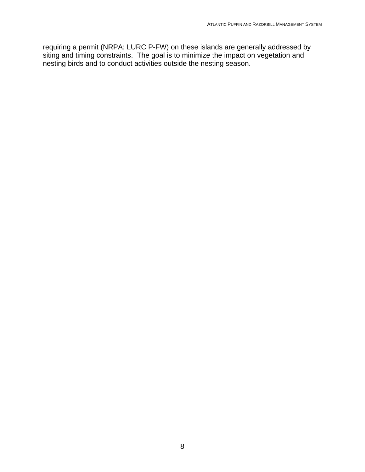requiring a permit (NRPA; LURC P-FW) on these islands are generally addressed by siting and timing constraints. The goal is to minimize the impact on vegetation and nesting birds and to conduct activities outside the nesting season.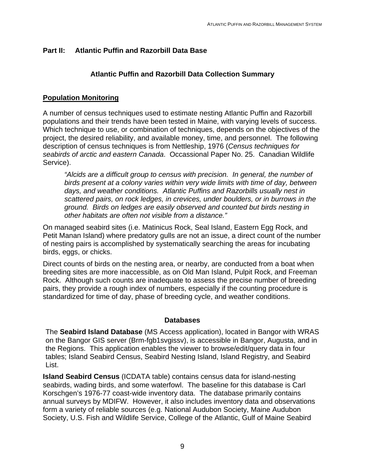## **Part II: Atlantic Puffin and Razorbill Data Base**

## **Atlantic Puffin and Razorbill Data Collection Summary**

## **Population Monitoring**

A number of census techniques used to estimate nesting Atlantic Puffin and Razorbill populations and their trends have been tested in Maine, with varying levels of success. Which technique to use, or combination of techniques, depends on the objectives of the project, the desired reliability, and available money, time, and personnel. The following description of census techniques is from Nettleship, 1976 (*Census techniques for seabirds of arctic and eastern Canada*. Occassional Paper No. 25. Canadian Wildlife Service).

*"Alcids are a difficult group to census with precision. In general, the number of birds present at a colony varies within very wide limits with time of day, between days, and weather conditions. Atlantic Puffins and Razorbills usually nest in scattered pairs, on rock ledges, in crevices, under boulders, or in burrows in the ground. Birds on ledges are easily observed and counted but birds nesting in other habitats are often not visible from a distance."* 

On managed seabird sites (i.e. Matinicus Rock, Seal Island, Eastern Egg Rock, and Petit Manan Island) where predatory gulls are not an issue, a direct count of the number of nesting pairs is accomplished by systematically searching the areas for incubating birds, eggs, or chicks.

Direct counts of birds on the nesting area, or nearby, are conducted from a boat when breeding sites are more inaccessible, as on Old Man Island, Pulpit Rock, and Freeman Rock. Although such counts are inadequate to assess the precise number of breeding pairs, they provide a rough index of numbers, especially if the counting procedure is standardized for time of day, phase of breeding cycle, and weather conditions.

#### **Databases**

The **Seabird Island Database** (MS Access application), located in Bangor with WRAS on the Bangor GIS server (Brm-fgb1svgissv), is accessible in Bangor, Augusta, and in the Regions. This application enables the viewer to browse/edit/query data in four tables; Island Seabird Census, Seabird Nesting Island, Island Registry, and Seabird List.

**Island Seabird Census** (ICDATA table) contains census data for island-nesting seabirds, wading birds, and some waterfowl. The baseline for this database is Carl Korschgen's 1976-77 coast-wide inventory data. The database primarily contains annual surveys by MDIFW. However, it also includes inventory data and observations form a variety of reliable sources (e.g. National Audubon Society, Maine Audubon Society, U.S. Fish and Wildlife Service, College of the Atlantic, Gulf of Maine Seabird